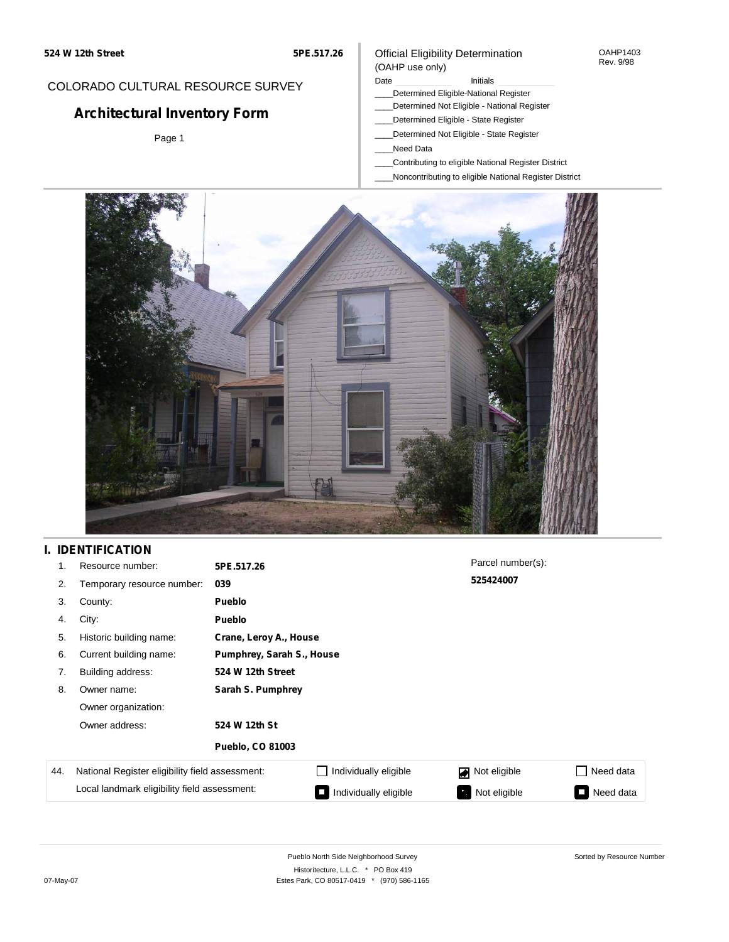#### OAHP1403 Rev. 9/98

### COLORADO CULTURAL RESOURCE SURVEY

# **Architectural Inventory Form**

Page 1

#### (OAHP use only) Date **Initials** Initials

Official Eligibility Determination

- \_\_\_\_Determined Eligible-National Register
- \_\_\_\_Determined Not Eligible National Register
- \_\_\_\_Determined Eligible State Register
- \_\_\_\_Determined Not Eligible State Register
- \_\_\_\_Need Data
- \_\_\_\_Contributing to eligible National Register District
- \_\_\_\_Noncontributing to eligible National Register District



### **I. IDENTIFICATION**

| 1.  | Resource number:                                                                                | 5PE.517.26                |                       | Parcel number(s): |                |
|-----|-------------------------------------------------------------------------------------------------|---------------------------|-----------------------|-------------------|----------------|
| 2.  | Temporary resource number:                                                                      | 039                       |                       | 525424007         |                |
| 3.  | County:                                                                                         | <b>Pueblo</b>             |                       |                   |                |
| 4.  | City:                                                                                           | <b>Pueblo</b>             |                       |                   |                |
| 5.  | Historic building name:                                                                         | Crane, Leroy A., House    |                       |                   |                |
| 6.  | Current building name:                                                                          | Pumphrey, Sarah S., House |                       |                   |                |
| 7.  | Building address:                                                                               | 524 W 12th Street         |                       |                   |                |
| 8.  | Owner name:                                                                                     | Sarah S. Pumphrey         |                       |                   |                |
|     | Owner organization:                                                                             |                           |                       |                   |                |
|     | Owner address:                                                                                  | 524 W 12th St             |                       |                   |                |
|     |                                                                                                 | <b>Pueblo, CO 81003</b>   |                       |                   |                |
| 44. | National Register eligibility field assessment:<br>Local landmark eligibility field assessment: |                           | Individually eligible | Not eligible      | Need data<br>П |
|     |                                                                                                 |                           | Individually eligible | Not eligible      | Need data<br>I |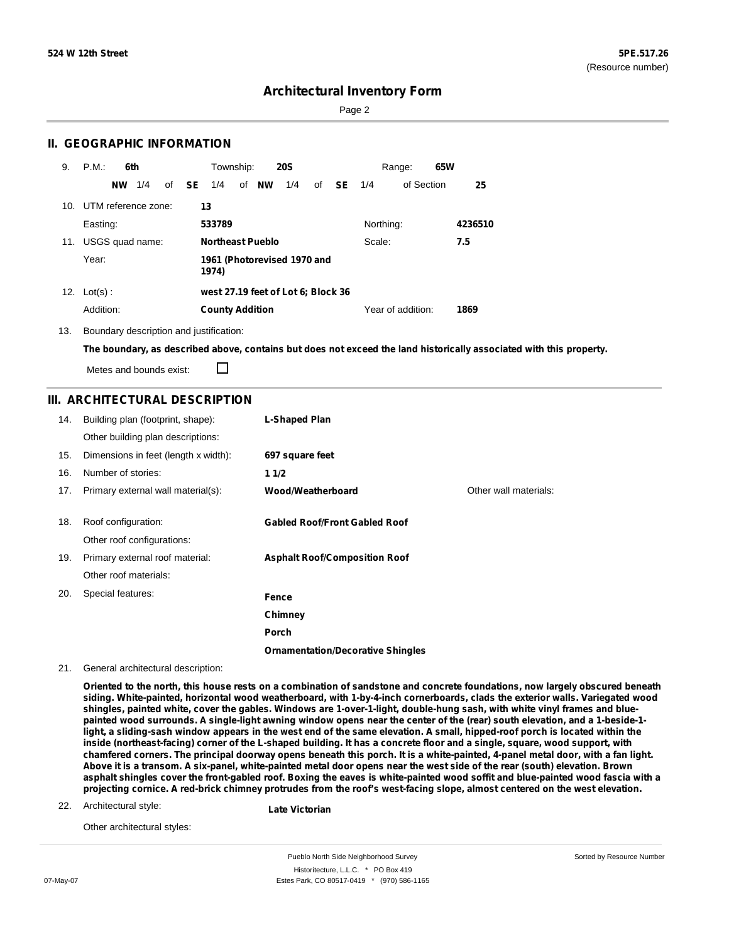Sorted by Resource Number

### **Architectural Inventory Form**

Page 2

### **II. GEOGRAPHIC INFORMATION**

| 9.  | P.M.<br>6th         | Township:<br><b>20S</b>                                | 65W<br>Range:             |
|-----|---------------------|--------------------------------------------------------|---------------------------|
|     | 1/4<br><b>NW</b>    | of NW<br>of <b>SE</b><br>1/4<br>1/4<br>of<br><b>SE</b> | of Section<br>1/4<br>25   |
| 10. | UTM reference zone: | 13                                                     |                           |
|     | Easting:            | 533789                                                 | Northing:<br>4236510      |
| 11. | USGS quad name:     | Northeast Pueblo                                       | Scale:<br>7.5             |
|     | Year:               | 1961 (Photorevised 1970 and<br>1974)                   |                           |
| 12. | $Lot(s)$ :          | west 27.19 feet of Lot 6; Block 36                     |                           |
|     | Addition:           | <b>County Addition</b>                                 | Year of addition:<br>1869 |

13. Boundary description and justification:

The boundary, as described above, contains but does not exceed the land historically associated with this property.

Metes and bounds exist:

П

### **III. ARCHITECTURAL DESCRIPTION**

| 14. | Building plan (footprint, shape):    | L-Shaped Plan                            |                       |
|-----|--------------------------------------|------------------------------------------|-----------------------|
|     | Other building plan descriptions:    |                                          |                       |
| 15. | Dimensions in feet (length x width): | 697 square feet                          |                       |
| 16. | Number of stories:                   | 11/2                                     |                       |
| 17. | Primary external wall material(s):   | Wood/Weatherboard                        | Other wall materials: |
|     |                                      |                                          |                       |
| 18. | Roof configuration:                  | <b>Gabled Roof/Front Gabled Roof</b>     |                       |
|     | Other roof configurations:           |                                          |                       |
| 19. | Primary external roof material:      | <b>Asphalt Roof/Composition Roof</b>     |                       |
|     | Other roof materials:                |                                          |                       |
| 20. | Special features:                    | Fence                                    |                       |
|     |                                      | Chimney                                  |                       |
|     |                                      | Porch                                    |                       |
|     |                                      | <b>Ornamentation/Decorative Shingles</b> |                       |

21. General architectural description:

Oriented to the north, this house rests on a combination of sandstone and concrete foundations, now largely obscured beneath **siding. White-painted, horizontal wood weatherboard, with 1-by-4-inch cornerboards, clads the exterior walls. Variegated wood** shingles, painted white, cover the gables. Windows are 1-over-1-light, double-hung sash, with white vinyl frames and bluepainted wood surrounds. A single-light awning window opens near the center of the (rear) south elevation, and a 1-beside-1light, a sliding-sash window appears in the west end of the same elevation. A small, hipped-roof porch is located within the inside (northeast-facing) corner of the L-shaped building. It has a concrete floor and a single, square, wood support, with chamfered corners. The principal doorway opens beneath this porch. It is a white-painted, 4-panel metal door, with a fan light. Above it is a transom. A six-panel, white-painted metal door opens near the west side of the rear (south) elevation. Brown asphalt shingles cover the front-gabled roof. Boxing the eaves is white-painted wood soffit and blue-painted wood fascia with a projecting cornice. A red-brick chimney protrudes from the roof's west-facing slope, almost centered on the west elevation.

22. Architectural style:

**Late Victorian**

Other architectural styles:

Pueblo North Side Neighborhood Survey Historitecture, L.L.C. \* PO Box 419 07-May-07 **Estes Park, CO 80517-0419** \* (970) 586-1165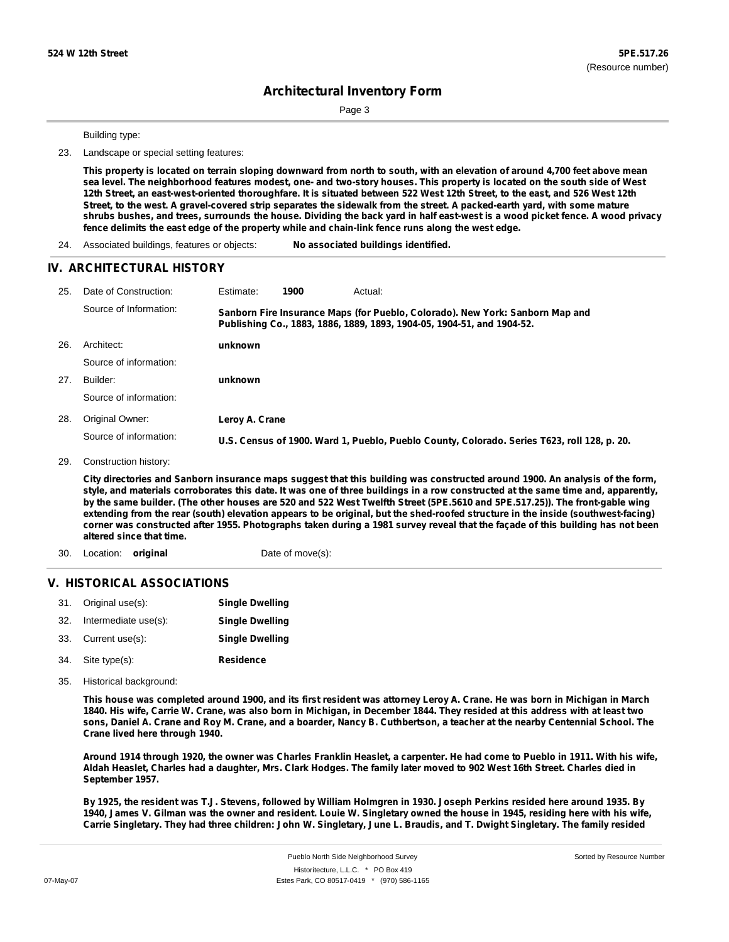Page 3

Building type:

23. Landscape or special setting features:

This property is located on terrain sloping downward from north to south, with an elevation of around 4,700 feet above mean sea level. The neighborhood features modest, one- and two-story houses. This property is located on the south side of West 12th Street, an east-west-oriented thoroughfare. It is situated between 522 West 12th Street, to the east, and 526 West 12th Street, to the west. A gravel-covered strip separates the sidewalk from the street. A packed-earth yard, with some mature shrubs bushes, and trees, surrounds the house. Dividing the back yard in half east-west is a wood picket fence. A wood privacy **fence delimits the east edge of the property while and chain-link fence runs along the west edge.**

24. Associated buildings, features or objects: **No associated buildings identified.**

#### **IV. ARCHITECTURAL HISTORY**

| 25. | Date of Construction:  | Estimate:                                                                                                                                               | 1900 | Actual:                                                                                     |
|-----|------------------------|---------------------------------------------------------------------------------------------------------------------------------------------------------|------|---------------------------------------------------------------------------------------------|
|     | Source of Information: | Sanborn Fire Insurance Maps (for Pueblo, Colorado). New York: Sanborn Map and<br>Publishing Co., 1883, 1886, 1889, 1893, 1904-05, 1904-51, and 1904-52. |      |                                                                                             |
| 26. | Architect:             | unknown                                                                                                                                                 |      |                                                                                             |
|     | Source of information: |                                                                                                                                                         |      |                                                                                             |
| 27. | Builder:               | unknown                                                                                                                                                 |      |                                                                                             |
|     | Source of information: |                                                                                                                                                         |      |                                                                                             |
| 28. | Original Owner:        | Leroy A. Crane                                                                                                                                          |      |                                                                                             |
|     | Source of information: |                                                                                                                                                         |      | U.S. Census of 1900. Ward 1, Pueblo, Pueblo County, Colorado. Series T623, roll 128, p. 20. |

29. Construction history:

City directories and Sanborn insurance maps suggest that this building was constructed around 1900. An analysis of the form, style, and materials corroborates this date. It was one of three buildings in a row constructed at the same time and, apparently, by the same builder. (The other houses are 520 and 522 West Twelfth Street (5PE.5610 and 5PE.517.25)). The front-gable wing extending from the rear (south) elevation appears to be original, but the shed-roofed structure in the inside (southwest-facing) corner was constructed after 1955. Photographs taken during a 1981 survey reveal that the façade of this building has not been **altered since that time.**

30. Location: **original** Date of move(s):

#### **V. HISTORICAL ASSOCIATIONS**

| 31. Original use(s):     | <b>Single Dwelling</b> |
|--------------------------|------------------------|
| 32. Intermediate use(s): | <b>Single Dwelling</b> |
| 33. Current use(s):      | <b>Single Dwelling</b> |
| 34. Site type(s):        | <b>Residence</b>       |

35. Historical background:

This house was completed around 1900, and its first resident was attorney Leroy A. Crane. He was born in Michigan in March 1840. His wife, Carrie W. Crane, was also born in Michigan, in December 1844. They resided at this address with at least two sons, Daniel A. Crane and Roy M. Crane, and a boarder, Nancy B. Cuthbertson, a teacher at the nearby Centennial School. The **Crane lived here through 1940.**

Around 1914 through 1920, the owner was Charles Franklin Heaslet, a carpenter. He had come to Pueblo in 1911. With his wife, Aldah Heaslet, Charles had a daughter, Mrs. Clark Hodges. The family later moved to 902 West 16th Street. Charles died in **September 1957.**

By 1925, the resident was T.J. Stevens, followed by William Holmgren in 1930. Joseph Perkins resided here around 1935. By 1940, James V. Gilman was the owner and resident. Louie W. Singletary owned the house in 1945, residing here with his wife, Carrie Singletary. They had three children: John W. Singletary, June L. Braudis, and T. Dwight Singletary. The family resided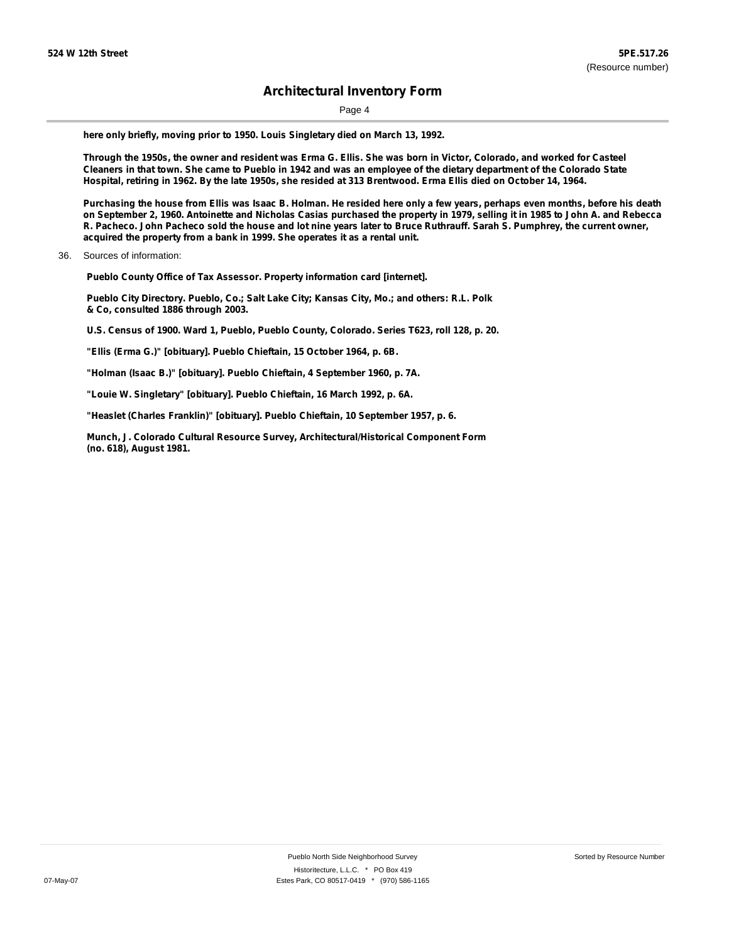Page 4

**here only briefly, moving prior to 1950. Louis Singletary died on March 13, 1992.**

Through the 1950s, the owner and resident was Erma G. Ellis. She was born in Victor, Colorado, and worked for Casteel Cleaners in that town. She came to Pueblo in 1942 and was an employee of the dietary department of the Colorado State Hospital, retiring in 1962. By the late 1950s, she resided at 313 Brentwood. Erma Ellis died on October 14, 1964.

Purchasing the house from Ellis was Isaac B. Holman. He resided here only a few years, perhaps even months, before his death on September 2, 1960. Antoinette and Nicholas Casias purchased the property in 1979, selling it in 1985 to John A. and Rebecca R. Pacheco. John Pacheco sold the house and lot nine years later to Bruce Ruthrauff. Sarah S. Pumphrey, the current owner, **acquired the property from a bank in 1999. She operates it as a rental unit.**

36. Sources of information:

**Pueblo County Office of Tax Assessor. Property information card [internet].**

**Pueblo City Directory. Pueblo, Co.; Salt Lake City; Kansas City, Mo.; and others: R.L. Polk & Co, consulted 1886 through 2003.**

**U.S. Census of 1900. Ward 1, Pueblo, Pueblo County, Colorado. Series T623, roll 128, p. 20.**

**"Ellis (Erma G.)" [obituary]. Pueblo Chieftain, 15 October 1964, p. 6B.**

**"Holman (Isaac B.)" [obituary]. Pueblo Chieftain, 4 September 1960, p. 7A.**

**"Louie W. Singletary" [obituary]. Pueblo Chieftain, 16 March 1992, p. 6A.**

**"Heaslet (Charles Franklin)" [obituary]. Pueblo Chieftain, 10 September 1957, p. 6.**

**Munch, J. Colorado Cultural Resource Survey, Architectural/Historical Component Form (no. 618), August 1981.**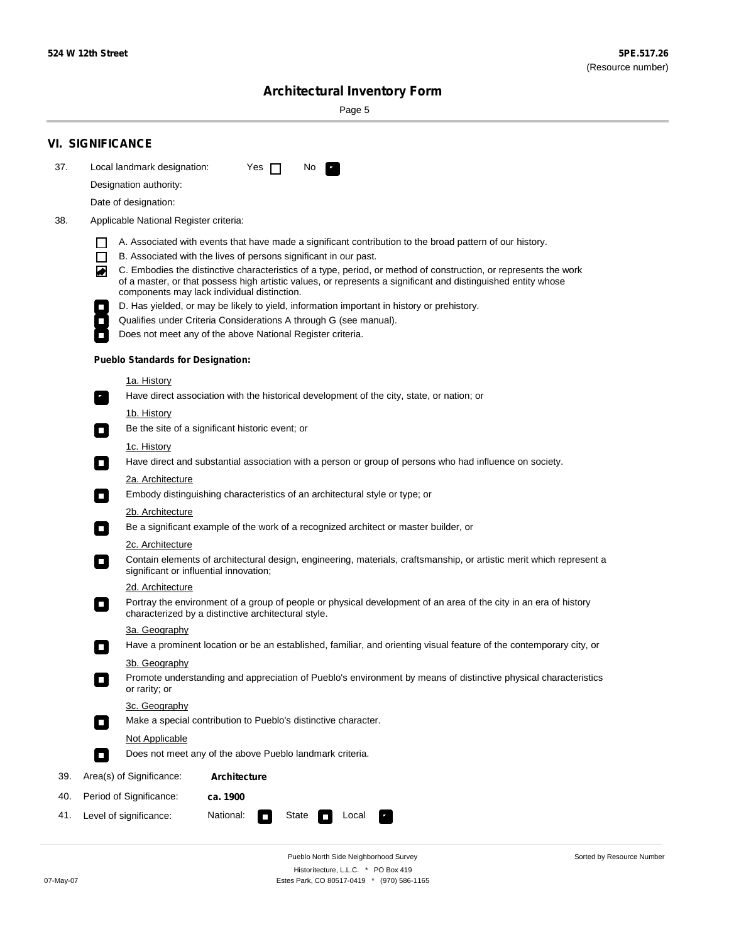Sorted by Resource Number

# **Architectural Inventory Form**

Page 5

|     | <b>VI. SIGNIFICANCE</b>                                                                                                                                                                                                                                                               |  |  |  |  |  |
|-----|---------------------------------------------------------------------------------------------------------------------------------------------------------------------------------------------------------------------------------------------------------------------------------------|--|--|--|--|--|
| 37. | Local landmark designation:<br>Yes $\Box$<br>No.                                                                                                                                                                                                                                      |  |  |  |  |  |
|     | Designation authority:                                                                                                                                                                                                                                                                |  |  |  |  |  |
|     | Date of designation:                                                                                                                                                                                                                                                                  |  |  |  |  |  |
| 38. | Applicable National Register criteria:                                                                                                                                                                                                                                                |  |  |  |  |  |
|     | A. Associated with events that have made a significant contribution to the broad pattern of our history.                                                                                                                                                                              |  |  |  |  |  |
|     | B. Associated with the lives of persons significant in our past.                                                                                                                                                                                                                      |  |  |  |  |  |
|     | C. Embodies the distinctive characteristics of a type, period, or method of construction, or represents the work<br>◙<br>of a master, or that possess high artistic values, or represents a significant and distinguished entity whose<br>components may lack individual distinction. |  |  |  |  |  |
|     | D. Has yielded, or may be likely to yield, information important in history or prehistory.                                                                                                                                                                                            |  |  |  |  |  |
|     | Qualifies under Criteria Considerations A through G (see manual).                                                                                                                                                                                                                     |  |  |  |  |  |
|     | Does not meet any of the above National Register criteria.                                                                                                                                                                                                                            |  |  |  |  |  |
|     | <b>Pueblo Standards for Designation:</b>                                                                                                                                                                                                                                              |  |  |  |  |  |
|     | <u>1a. History</u>                                                                                                                                                                                                                                                                    |  |  |  |  |  |
|     | Have direct association with the historical development of the city, state, or nation; or<br>$\overline{\phantom{a}}$ .                                                                                                                                                               |  |  |  |  |  |
|     | <u>1b. History</u>                                                                                                                                                                                                                                                                    |  |  |  |  |  |
|     | Be the site of a significant historic event; or<br>$\Box$                                                                                                                                                                                                                             |  |  |  |  |  |
|     | 1c. History<br>Have direct and substantial association with a person or group of persons who had influence on society.<br>$\sim$                                                                                                                                                      |  |  |  |  |  |
|     | 2a. Architecture                                                                                                                                                                                                                                                                      |  |  |  |  |  |
|     | Embody distinguishing characteristics of an architectural style or type; or<br>$\overline{\phantom{a}}$                                                                                                                                                                               |  |  |  |  |  |
|     | 2b. Architecture                                                                                                                                                                                                                                                                      |  |  |  |  |  |
|     | Be a significant example of the work of a recognized architect or master builder, or<br>$\overline{\phantom{a}}$                                                                                                                                                                      |  |  |  |  |  |
|     | 2c. Architecture                                                                                                                                                                                                                                                                      |  |  |  |  |  |
|     | Contain elements of architectural design, engineering, materials, craftsmanship, or artistic merit which represent a<br>$\mathcal{L}_{\mathcal{A}}$<br>significant or influential innovation;                                                                                         |  |  |  |  |  |
|     | 2d. Architecture                                                                                                                                                                                                                                                                      |  |  |  |  |  |
|     | Portray the environment of a group of people or physical development of an area of the city in an era of history<br>$\mathcal{L}_{\mathcal{A}}$<br>characterized by a distinctive architectural style.                                                                                |  |  |  |  |  |
|     | 3a. Geography                                                                                                                                                                                                                                                                         |  |  |  |  |  |
|     | Have a prominent location or be an established, familiar, and orienting visual feature of the contemporary city, or<br>П                                                                                                                                                              |  |  |  |  |  |
|     | 3b. Geography                                                                                                                                                                                                                                                                         |  |  |  |  |  |
|     | Promote understanding and appreciation of Pueblo's environment by means of distinctive physical characteristics<br>or rarity; or                                                                                                                                                      |  |  |  |  |  |
|     | 3c. Geography                                                                                                                                                                                                                                                                         |  |  |  |  |  |
|     | Make a special contribution to Pueblo's distinctive character.<br>О                                                                                                                                                                                                                   |  |  |  |  |  |
|     | Not Applicable                                                                                                                                                                                                                                                                        |  |  |  |  |  |
|     | Does not meet any of the above Pueblo landmark criteria.<br>$\overline{\phantom{a}}$                                                                                                                                                                                                  |  |  |  |  |  |
| 39. | Area(s) of Significance:<br><b>Architecture</b>                                                                                                                                                                                                                                       |  |  |  |  |  |
| 40. | Period of Significance:<br>ca. 1900                                                                                                                                                                                                                                                   |  |  |  |  |  |
| 41. | National:<br>Level of significance:<br>State<br>Local<br>$\mathcal{L}_{\mathcal{A}}$                                                                                                                                                                                                  |  |  |  |  |  |

Pueblo North Side Neighborhood Survey Historitecture, L.L.C. \* PO Box 419 07-May-07 Estes Park, CO 80517-0419 \* (970) 586-1165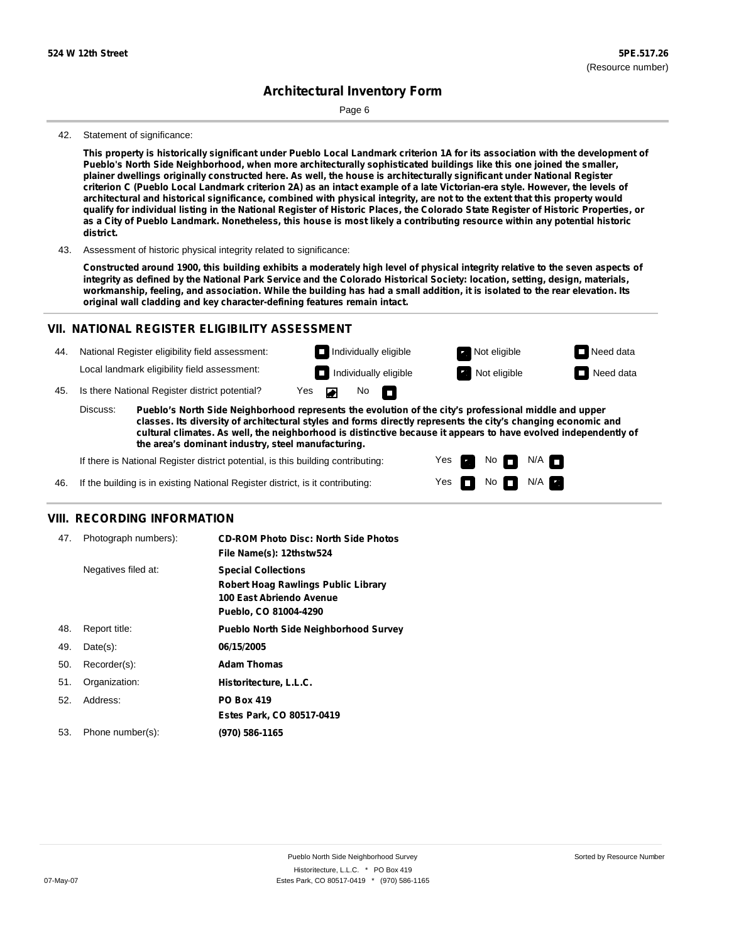Page 6

#### 42. Statement of significance:

This property is historically significant under Pueblo Local Landmark criterion 1A for its association with the development of **Pueblo's North Side Neighborhood, when more architecturally sophisticated buildings like this one joined the smaller,** plainer dwellings originally constructed here. As well, the house is architecturally significant under National Register criterion C (Pueblo Local Landmark criterion 2A) as an intact example of a late Victorian-era style. However, the levels of architectural and historical significance, combined with physical integrity, are not to the extent that this property would qualify for individual listing in the National Register of Historic Places, the Colorado State Register of Historic Properties, or as a City of Pueblo Landmark. Nonetheless, this house is most likely a contributing resource within any potential historic **district.**

43. Assessment of historic physical integrity related to significance:

Constructed around 1900, this building exhibits a moderately high level of physical integrity relative to the seven aspects of integrity as defined by the National Park Service and the Colorado Historical Society: location, setting, design, materials, workmanship, feeling, and association. While the building has had a small addition, it is isolated to the rear elevation. Its **original wall cladding and key character-defining features remain intact.**

#### **VII. NATIONAL REGISTER ELIGIBILITY ASSESSMENT**

National Register eligibility field assessment: 44. Local landmark eligibility field assessment:

**Individually eligible Not eligible Not eligible Need data** 

No<sub>D</sub>

**Individually eligible Not eligible** Not eligible **Need data** 

45. Is there National Register district potential? Yes

**Pueblo's North Side Neighborhood represents the evolution of the city's professional middle and upper classes. Its diversity of architectural styles and forms directly represents the city's changing economic and cultural climates. As well, the neighborhood is distinctive because it appears to have evolved independently of the area's dominant industry, steel manufacturing.** Discuss:

 $\blacksquare$ 

Yes Yes No

 $No$  N/A

 $N/A$   $\Box$ 

If there is National Register district potential, is this building contributing:



### **VIII. RECORDING INFORMATION**

| 47. | Photograph numbers): | <b>CD-ROM Photo Disc: North Side Photos</b><br>File Name(s): 12thstw524                                                       |
|-----|----------------------|-------------------------------------------------------------------------------------------------------------------------------|
|     | Negatives filed at:  | <b>Special Collections</b><br><b>Robert Hoag Rawlings Public Library</b><br>100 East Abriendo Avenue<br>Pueblo, CO 81004-4290 |
| 48. | Report title:        | <b>Pueblo North Side Neighborhood Survey</b>                                                                                  |
| 49. | $Date(s)$ :          | 06/15/2005                                                                                                                    |
| 50. | Recorder(s):         | <b>Adam Thomas</b>                                                                                                            |
| 51. | Organization:        | Historitecture, L.L.C.                                                                                                        |
| 52. | Address:             | <b>PO Box 419</b>                                                                                                             |
|     |                      | Estes Park, CO 80517-0419                                                                                                     |
| 53. | Phone number(s):     | (970) 586-1165                                                                                                                |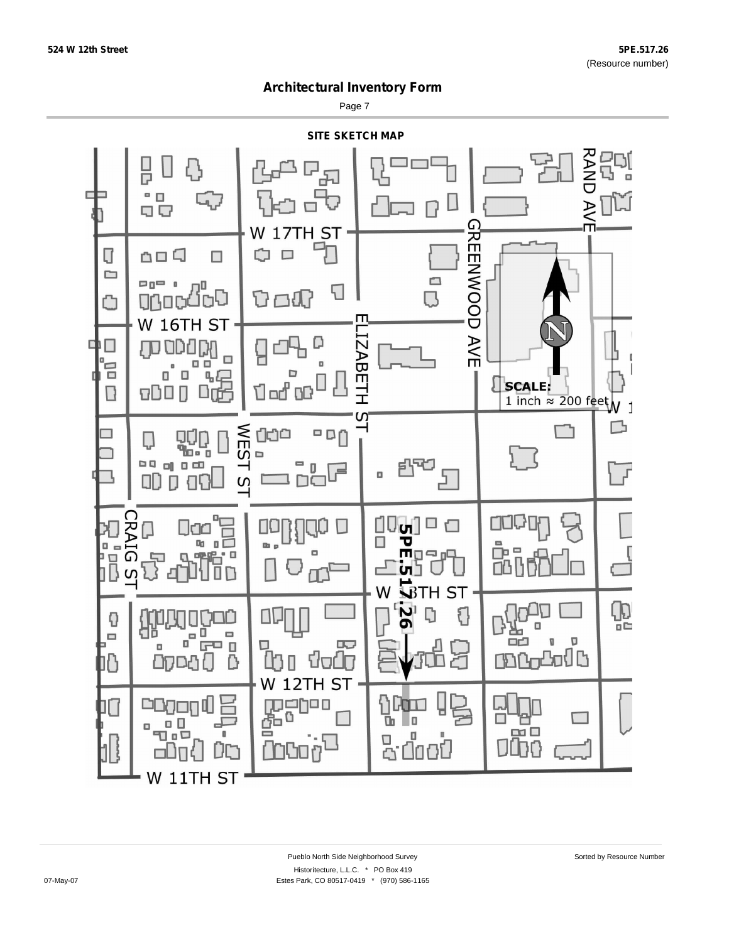Page 7